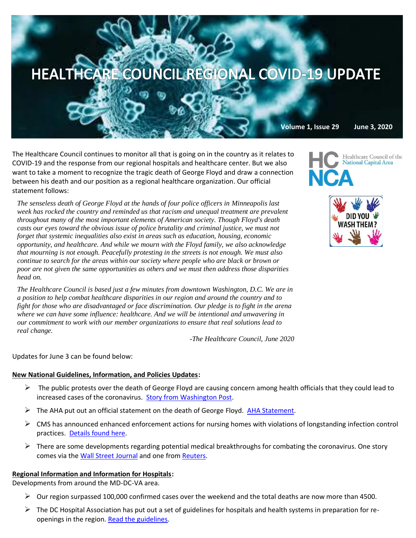# HEALTHCARE COUNCIL REGIONAL COVID-19 UPDATE

The Healthcare Council continues to monitor all that is going on in the country as it relates to COVID-19 and the response from our regional hospitals and healthcare center. But we also want to take a moment to recognize the tragic death of George Floyd and draw a connection between his death and our position as a regional healthcare organization. Our official statement follows:

*The senseless death of George Floyd at the hands of four police officers in Minneapolis last week has rocked the country and reminded us that racism and unequal treatment are prevalent throughout many of the most important elements of American society. Though Floyd's death casts our eyes toward the obvious issue of police brutality and criminal justice, we must not forget that systemic inequalities also exist in areas such as education, housing, economic opportunity, and healthcare. And while we mourn with the Floyd family, we also acknowledge that mourning is not enough. Peacefully protesting in the streets is not enough. We must also continue to search for the areas within our society where people who are black or brown or poor are not given the same opportunities as others and we must then address those disparities head on.*

*The Healthcare Council is based just a few minutes from downtown Washington, D.C. We are in a position to help combat healthcare disparities in our region and around the country and to fight for those who are disadvantaged or face discrimination. Our pledge is to fight in the arena where we can have some influence: healthcare. And we will be intentional and unwavering in our commitment to work with our member organizations to ensure that real solutions lead to real change.*

*-The Healthcare Council, June 2020*

Updates for June 3 can be found below:

#### **New National Guidelines, Information, and Policies Updates:**

- $\triangleright$  The public protests over the death of George Floyd are causing concern among health officials that they could lead to increased cases of the coronavirus. [Story from Washington Post.](https://www.washingtonpost.com/health/crowded-protests-spark-concerns-about-fresh-outbreaks-of-the-deadly-coronavirus/2020/05/31/27397194-a364-11ea-b473-04905b1af82b_story.html?mkt_tok=eyJpIjoiTmpabU9USmxNelkwWmpNeCIsInQiOiJMdkZFT3NIM0ZtT29TWnJtY2h1WityNGN4OWRIajJxZzNQVWM3U01SdzZwZW55R0hnSlB4OE4zdUw4K1BBdFBMTXQrSXZRQWVRK01NQnBBWUZTNDExZVJINFwvVnN6NGJyb1wvcDZtK3NKUFJObEhvOTVKSmVuYU0wT2xYMnIreGZzIn0=)
- The AHA put out an official statement on the death of George Floyd. [AHA Statement.](https://www.aha.org/press-releases/2020-06-01-statement-george-floyds-death-and-unrest-america)
- $\triangleright$  CMS has announced enhanced enforcement actions for nursing homes with violations of longstanding infection control practices. [Details found here.](https://www.cms.gov/newsroom/press-releases/trump-administration-unveils-enhanced-enforcement-actions-based-nursing-home-covid-19-data-and)
- $\triangleright$  There are some developments regarding potential medical breakthroughs for combating the coronavirus. One story comes via the [Wall Street](https://www.wsj.com/articles/eli-lilly-begins-testing-covid-19-drug-derived-from-blood-of-survivor-11591007400?mkt_tok=eyJpIjoiTmpabU9USmxNelkwWmpNeCIsInQiOiJMdkZFT3NIM0ZtT29TWnJtY2h1WityNGN4OWRIajJxZzNQVWM3U01SdzZwZW55R0hnSlB4OE4zdUw4K1BBdFBMTXQrSXZRQWVRK01NQnBBWUZTNDExZVJINFwvVnN6NGJyb1wvcDZtK3NKUFJObEhvOTVKSmVuYU0wT2xYMnIreGZzIn0=) Journal and one from [Reuters.](https://www.reuters.com/article/us-astrazeneca-fda/astrazenecas-heart-drug-gets-fda-nod-idUSKBN2381FJ?mkt_tok=eyJpIjoiTmpabU9USmxNelkwWmpNeCIsInQiOiJMdkZFT3NIM0ZtT29TWnJtY2h1WityNGN4OWRIajJxZzNQVWM3U01SdzZwZW55R0hnSlB4OE4zdUw4K1BBdFBMTXQrSXZRQWVRK01NQnBBWUZTNDExZVJINFwvVnN6NGJyb1wvcDZtK3NKUFJObEhvOTVKSmVuYU0wT2xYMnIreGZzIn0=)

## **Regional Information and Information for Hospitals:**

Developments from around the MD-DC-VA area.

- ➢ Our region surpassed 100,000 confirmed cases over the weekend and the total deaths are now more than 4500.
- $\triangleright$  The DC Hospital Association has put out a set of guidelines for hospitals and health systems in preparation for reopenings in the region. [Read the guidelines.](https://mcusercontent.com/67e7a773996f97d87b3be7633/files/a12c7e98-12b3-4e85-ba0b-fa73204eccee/5.28.20_ReOpen_DC_final.pdf)

**Volume 1, Issue 29 June 3, 2020**

Healthcare Council of the **National Capital Area**